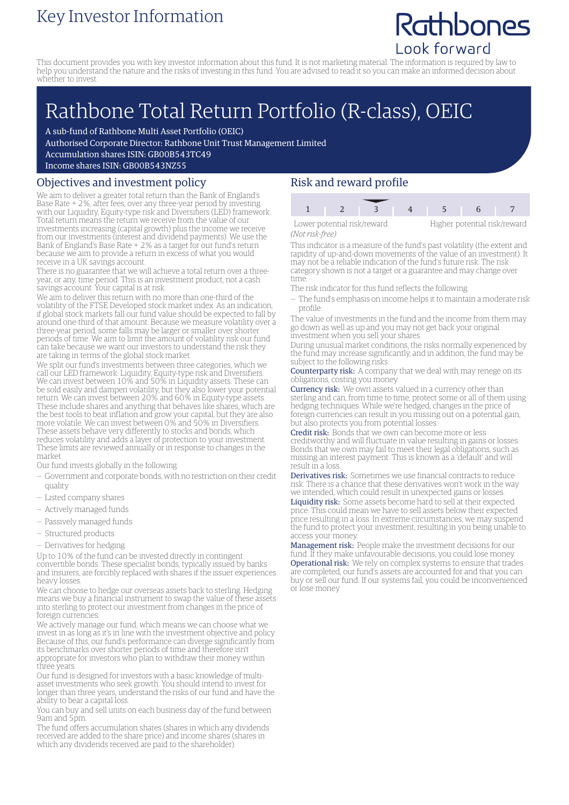### Key Investor Information

## Rathbones Look forward

This document provides you with key investor information about this fund. It is not marketing material. The information is required by law to help you understand the nature and the risks of investing in this fund. You are advised to read it so you can make an informed decision about whether to invest.

# Rathbone Total Return Portfolio (R-class), OEIC

A sub-fund of Rathbone Multi Asset Portfolio (OEIC)

Authorised Corporate Director: Rathbone Unit Trust Management Limited

Accumulation shares ISIN: GB00B543TC49

Income shares ISIN: GB00B543NZ55

#### Objectives and investment policy

We aim to deliver a greater total return than the Bank of England's Base Rate + 2%, after fees, over any three-year period by investing with our Liquidity, Equity-type risk and Diversifiers (LED) framework. Total return means the return we receive from the value of our investments increasing (capital growth) plus the income we receive from our investments (interest and dividend payments). We use the Bank of England's Base Rate + 2% as a target for our fund's return because we aim to provide a return in excess of what you would receive in a UK savings account.

There is no guarantee that we will achieve a total return over a threeyear, or any, time period. This is an investment product, not a cash savings account. Your capital is at risk.

We aim to deliver this return with no more than one-third of the volatility of the FTSE Developed stock market index. As an indication, if global stock markets fall our fund value should be expected to fall by around one-third of that amount. Because we measure volatility over a three-year period, some falls may be larger or smaller over shorter periods of time. We aim to limit the amount of volatility risk our fund can take because we want our investors to understand the risk they are taking in terms of the global stock market.

We split our fund's investments between three categories, which we call our LED framework: Liquidity, Equity-type risk and Diversifiers. We can invest between 10% and 50% in Liquidity assets. These can be sold easily and dampen volatility, but they also lower your potential return. We can invest between 20% and 60% in Equity-type assets. These include shares and anything that behaves like shares, which are the best tools to beat inflation and grow your capital, but they are also more volatile. We can invest between 0% and 50% in Diversifiers. These assets behave very differently to stocks and bonds, which reduces volatility and adds a layer of protection to your investment. These limits are reviewed annually or in response to changes in the market.

Our fund invests globally in the following:

- Government and corporate bonds, with no restriction on their credit quality
- Listed company shares
- Actively managed funds
- Passively managed funds
- Structured products
- Derivatives for hedging

Up to 10% of the fund can be invested directly in contingent convertible bonds. These specialist bonds, typically issued by banks and insurers, are forcibly replaced with shares if the issuer experiences heavy losses.

We can choose to hedge our overseas assets back to sterling. Hedging means we buy a financial instrument to swap the value of these assets into sterling to protect our investment from changes in the price of foreign currencies.

We actively manage our fund, which means we can choose what we invest in as long as it's in line with the investment objective and policy. Because of this, our fund's performance can diverge significantly from its benchmarks over shorter periods of time and therefore isn't appropriate for investors who plan to withdraw their money within three years.

Our fund is designed for investors with a basic knowledge of multiasset investments who seek growth. You should intend to invest for longer than three years, understand the risks of our fund and have the ability to bear a capital loss.

You can buy and sell units on each business day of the fund between 9am and 5pm.

The fund offers accumulation shares (shares in which any dividends received are added to the share price) and income shares (shares in which any dividends received are paid to the shareholder).

### Risk and reward profile

| Lower potential risk/reward |  | Higher potentia |  |  |
|-----------------------------|--|-----------------|--|--|
| Not rick-froo)              |  |                 |  |  |

*(Not risk-free)*

Higher potential risk/reward

This indicator is a measure of the fund's past volatility (the extent and rapidity of up-and-down movements of the value of an investment). It may not be a reliable indication of the fund's future risk. The risk category shown is not a target or a guarantee and may change over time.

- The risk indicator for this fund reflects the following:
- The fund's emphasis on income helps it to maintain a moderate risk profile.

The value of investments in the fund and the income from them may go down as well as up and you may not get back your original investment when you sell your shares.

During unusual market conditions, the risks normally experienced by the fund may increase significantly, and in addition, the fund may be subject to the following risks:

Counterparty risk: A company that we deal with may renege on its obligations, costing you money.

Currency risk: We own assets valued in a currency other than sterling and can, from time to time, protect some or all of them using hedging techniques. While we're hedged, changes in the price of foreign currencies can result in you missing out on a potential gain, but also protects you from potential losses.

Credit risk: Bonds that we own can become more or less creditworthy and will fluctuate in value resulting in gains or losses. Bonds that we own may fail to meet their legal obligations, such as missing an interest payment. This is known as a 'default' and will result in a loss.

Derivatives risk: Sometimes we use financial contracts to reduce risk. There is a chance that these derivatives won't work in the way we intended, which could result in unexpected gains or losses. Liquidity risk: Some assets become hard to sell at their expected price. This could mean we have to sell assets below their expected price resulting in a loss. In extreme circumstances, we may suspend the fund to protect your investment, resulting in you being unable to access your money.

Management risk: People make the investment decisions for our fund. If they make unfavourable decisions, you could lose money. Operational risk: We rely on complex systems to ensure that trades are completed, our fund's assets are accounted for and that you can buy or sell our fund. If our systems fail, you could be inconvenienced or lose money.